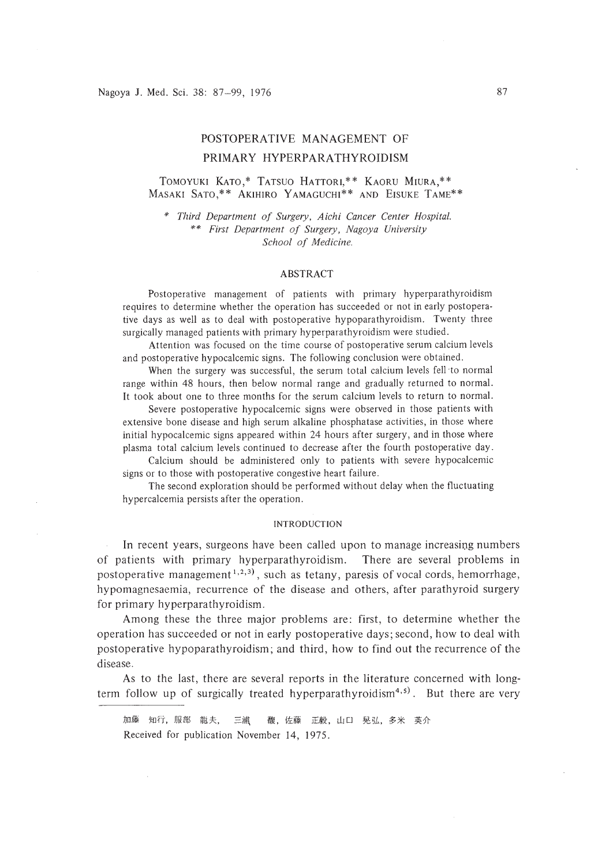# POSTOPERATIVE MANAGEMENT OF PRIMARY HYPERPARATHYROIDISM

# TOMOYUKI KATO,\* TATSUO HATTORI,\*\* KAORU MIURA,\*\* MASAKI SATO,\*\* AKIHIRO YAMAGUCHI\*\* AND EISUKE TAME\*\*

\* *Third Department of Surgery, Aichi Cancer Center Hospital.* \*\* *First Department of Surgery, Nagoya University School of Medicine.*

#### ABSTRACT

Postoperative management of patients with primary hyperparathyroidism requires to determine whether the operation has succeeded or not in early postoperative days as well as to deal with postoperative hypoparathyroidism. Twenty three surgically managed patients with primary hyperparathyroidism were studied.

Attention was focused on the time course of postoperative serum calcium levels and postoperative hypocalcemic signs. The following conclusion were obtained.

When the surgery was successful, the serum total calcium levels fell·to normal range within 48 hours, then below normal range and gradually returned to normal. It took about one to three months for the serum calcium levels to return to normal.

Severe postoperative hypocalcemic signs were observed in those patients with extensive bone disease and high serum alkaline phosphatase activities, in those where initial hypocalcemic signs appeared within 24 hours after surgery, and in those where plasma total calcium levels continued to decrease after the fourth postoperative day.

Calcium should be administered only to patients with severe hypocalcemic signs or to those with postoperative congestive heart failure.

The second exploration should be performed without delay when the fluctuating hypercalcemia persists after the operation.

#### INTRODUCTION

In recent years, surgeons have been called upon to manage increasing numbers of patients with primary hyperparathyroidism. There are several problems in postoperative management<sup>1,2,3)</sup>, such as tetany, paresis of vocal cords, hemorrhage, hypomagnesaemia, recurrence of the disease and others, after parathyroid surgery for primary hyperparathyroidism.

Among these the three major problems are: first, to determine whether the operation has succeeded or not in early postoperative days; second, how to deal with postoperative hypoparathyroidism; and third, how to find out the recurrence of the disease.

As to the last, there are several reports in the literature concerned with longterm follow up of surgically treated hyperparathyroidism<sup>4,5)</sup>. But there are very

加藤 知行,服部 龍夫, 三浦 馥,佐藤 正毅, 山口 晃弘,多米 英介 Received for publication November 14, 1975.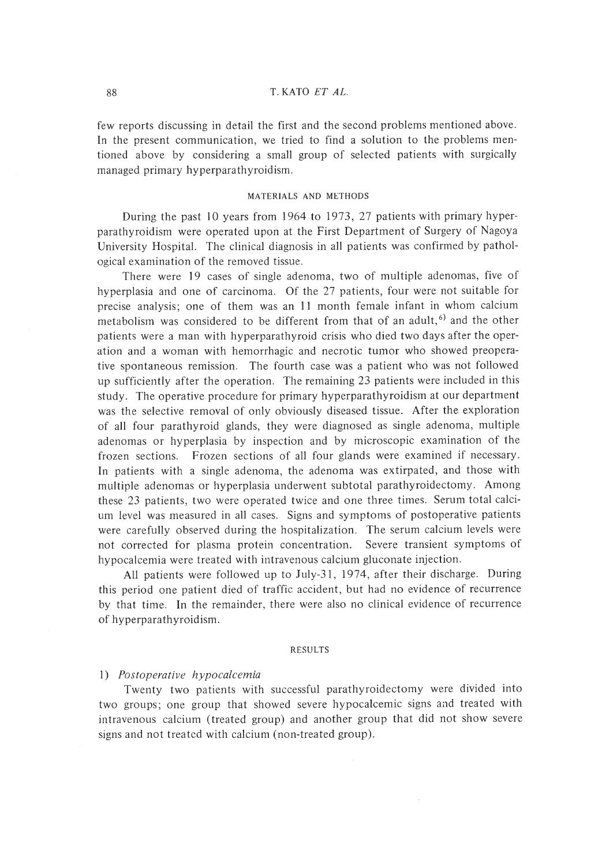#### 88 T. KATO *ET AL.*

few reports discussing in detail the first and the second problems mentioned above. In the present communication, we tried to find a solution to the problems mentioned above by considering a small group of selected patients with surgically managed primary hyperparathyroidism.

## MATERIALS AND METHODS

During the past 10 years from 1964 to 1973, 27 patients with primary hyperparathyroidism were operated upon at the First Department of Surgery of Nagoya University Hospital. The clinical diagnosis in all patients was confirmed by pathological examination of the removed tissue.

There were 19 cases of single adenoma, two of multiple adenomas, five of hyperplasia and one of carcinoma. Of the 27 patients, four were not suitable for precise analysis; one of them was an **II** month female infant in whom calcium metabolism was considered to be different from that of an adult,<sup>6)</sup> and the other patients were a man with hyperparathyroid crisis who died two days after the operation and a woman with hemorrhagic and necrotic tumor who showed preoperative spontaneous remission. The fourth case was a patient who was not followed up sufficiently after the operation. The remaining 23 patients were included in this study. The operative procedure for primary hyperparathyroidism at our department was the selective removal of only obviously diseased tissue. After the exploration of all four parathyroid glands, they were diagnosed as single adenoma, multiple adenomas or hyperplasia by inspection and by microscopic examination of the frozen sections. Frozen sections of all four glands were examined if necessary. In patients with a single adenoma, the adenoma was extirpated, and those with multiple adenomas or hyperplasia underwent subtotal parathyroidectomy. Among these 23 patients, two were operated twice and one three times. Serum total calcium level was measured in all cases. Signs and symptoms of postoperative patients were carefully observed during the hospitalization. The serum calcium levels were not corrected for plasma protein concentration. Severe transient symptoms of hypocalcemia were treated with intravenous calcium gluconate injection.

All patients were followed up to July-31, 1974, after their discharge. During this period one patient died of traffic accident, but had no evidence of recurrence by that time. In the remainder, there were also no clinical evidence of recurrence of hyperparathyroidism.

#### RESULTS

#### I) Postoperative hypocalcemia

Twenty two patients with successful parathyroidectomy were divided into two groups; one group that showed severe hypocalcemic signs aad treated with intravenous calcium (treated group) and another group that did not show severe signs and not treated with calcium (non-treated group).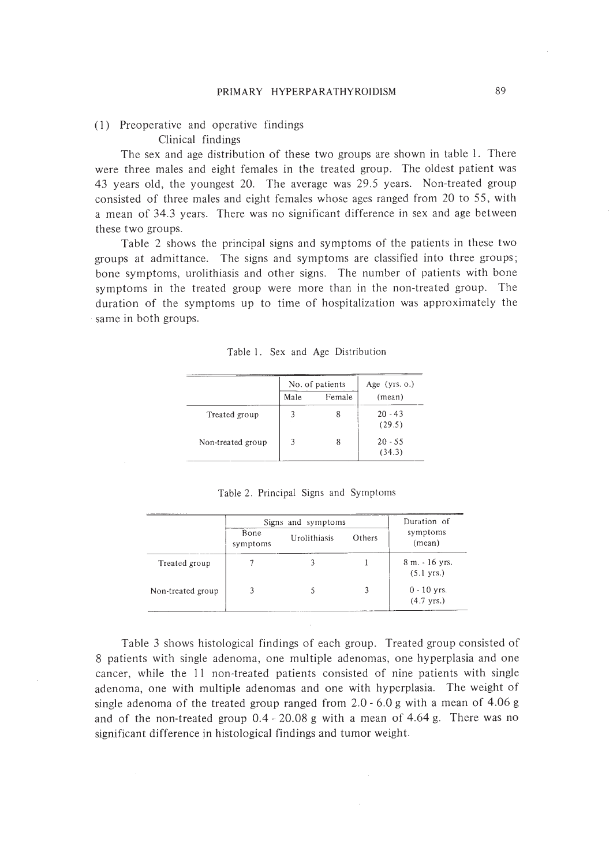## (I) Preoperative and operative findings Clinical findings

The sex and age distribution of these two groups are shown in table I. There were three males and eight females in the treated group. The oldest patient was 43 years old, the youngest 20. The average was 29.5 years. Non-treated group consisted of three males and eight females whose ages ranged from 20 to 55, with a mean of 34.3 years. There was no significant difference in sex and age between these two groups.

Table 2 shows the principal signs and symptoms of the patients in these two groups at admittance. The signs and symptoms are classified into three groups; bone symptoms, urolithiasis and other signs. The number of patients with bone symptoms in the treated group were more than in the non-treated group. The duration of the symptoms up to time of hospitalization was approximately the same in both groups.

|  |  |  |  | Table 1. Sex and Age Distribution |
|--|--|--|--|-----------------------------------|
|--|--|--|--|-----------------------------------|

|                   |      | No. of patients | Age $(yrs. o.)$     |  |
|-------------------|------|-----------------|---------------------|--|
|                   | Male | Female          | (mean)              |  |
| Treated group     | 3    | 8               | $20 - 43$<br>(29.5) |  |
| Non-treated group | 3    | 8               | $20 - 55$<br>(34.3) |  |

|  |  | Table 2. Principal Signs and Symptoms |
|--|--|---------------------------------------|
|  |  |                                       |

|                   | Signs and symptoms |              |        | Duration of                            |  |
|-------------------|--------------------|--------------|--------|----------------------------------------|--|
|                   | Bone<br>symptoms   | Urolithiasis | Others | symptoms<br>(mean)                     |  |
| Treated group     |                    |              |        | 8 m. - 16 yrs.<br>$(5.1 \text{ yrs.})$ |  |
| Non-treated group |                    |              |        | $0 - 10$ yrs.<br>$(4.7 \text{ yrs.})$  |  |

Table 3 shows histological findings of each group. Treated group consisted of 8 patients with single adenoma, one multiple adenomas, one hyperplasia and one cancer, while the **II** non-treated patients consisted of nine patients with single adenoma, one with multiple adenomas and one with hyperplasia. The weight of single adenoma of the treated group ranged from 2.0 - 6.0 g with a mean of 4.06 g and of the non-treated group 0.4· 20.08 g with a mean of 4.64 g. There was no significant difference in histological findings and tumor weight.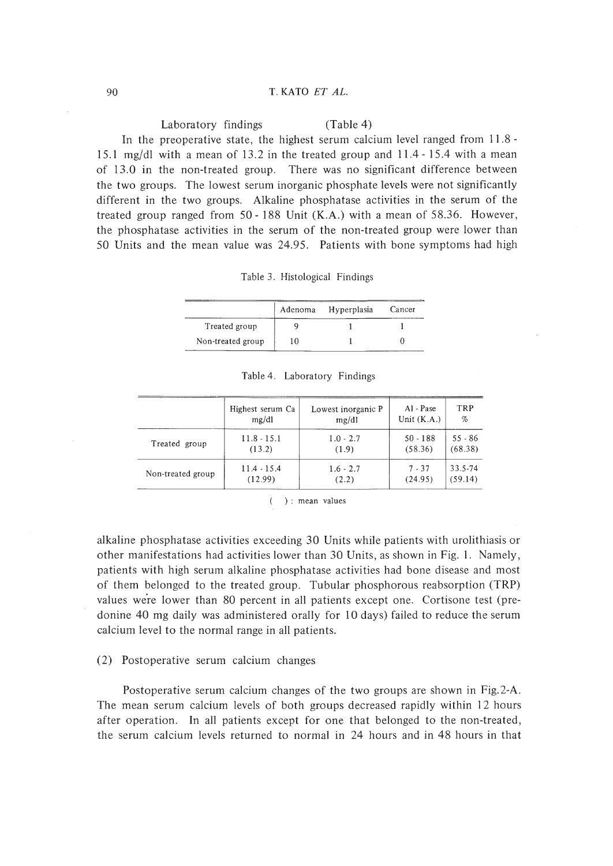### 90 T. KATO *ET AL.*

Laboratory findings (Table 4) In the preoperative state, the highest serum calcium level ranged from 11.8- 15.1 mg/dl with a mean of 13.2 in the treated group and **11.4** - 15.4 with a mean of 13.0 in the non-treated group. There was no significant difference between the two groups. The lowest serum inorganic phosphate levels were not significantly different in the two groups. Alkaline phosphatase activities in the serum of the treated group ranged from 50 - 188 Unit (K.A.) with a mean of 58.36. However, the phosphatase activities in the serum of the non-treated group were lower than 50 Units and the mean value was 24.95. Patients with bone symptoms had high

| Table 3. Histological Findings |  |
|--------------------------------|--|
|                                |  |

|                   | Adenoma | Hyperplasia | Cancer |
|-------------------|---------|-------------|--------|
| Treated group     |         |             |        |
| Non-treated group | 10      |             |        |

|                   | Highest serum Ca | Lowest inorganic P | Al - Pase     | TRP       |
|-------------------|------------------|--------------------|---------------|-----------|
|                   | mg/dl            | mg/dl              | Unit $(K.A.)$ | $\%$      |
| Treated group     | $11.8 - 15.1$    | $1.0 - 2.7$        | $50 - 188$    | $55 - 86$ |
|                   | (13.2)           | (1.9)              | (58.36)       | (68.38)   |
| Non-treated group | $11.4 - 15.4$    | $1.6 - 2.7$        | $7 - 37$      | 33.5-74   |
|                   | (12.99)          | (2.2)              | (24.95)       | (59.14)   |

Table 4. Laboratory Findings

): mean values

alkaline phosphatase activities exceeding 30 Units while patients with urolithiasis or other manifestations had activities lower than 30 Units, as shown in Fig. I. Namely, patients with high serum alkaline phosphatase activities had bone disease and most of them belonged to the treated group. Tubular phosphorous reabsorption (TRP) values were lower than 80 percent in all patients except one. Cortisone test (predonine 40 mg daily was administered orally for 10 days) failed to reduce the serum calcium level to the normal range in all patients.

#### (2) Postoperative serum calcium changes

Postoperative serum calcium changes of the two groups are shown in Fig.2-A. The mean serum calcium levels of both groups decreased rapidly within 12 hours after operation. In all patients except for one that belonged to the non-treated, the serum calcium levels returned to normal in 24 hours and in 48 hours in that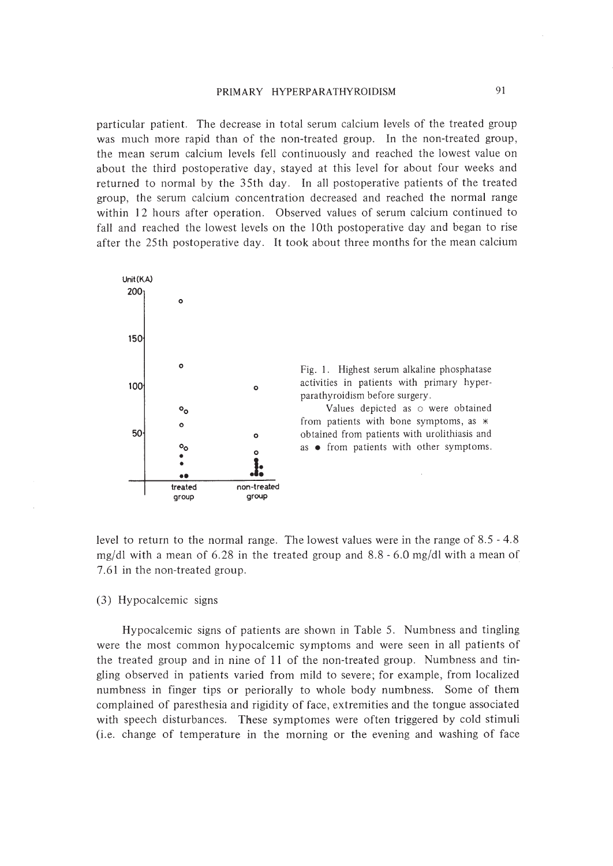particular patient. The decrease in total serum calcium levels of the treated group was much more rapid than of the non-treated group. In the non-treated group, the mean serum calcium levels fell continuously and reached the lowest value on about the third postoperative day, stayed at this level for about four weeks and returned to normal by the 35th day. In all postoperative patients of the treated group, the serum calcium concentration decreased and reached the normal range within 12 hours after operation. Observed values of serum calcium continued to fall and reached the lowest levels on the 10th postoperative day and began to rise after the 25th postoperative day. It took about three months for the mean calcium



Fig. I. Highest serum alkaline phosphatase activities in patients with primary hyperparathyroidism before surgery.

Values depicted as  $\circ$  were obtained from patients with bone symptoms, as  $*$ obtained from patients with urolithiasis and as • from patients with other symptoms.

level to return to the normal range. The lowest values were in the range of 8.5 - 4.8 mg/dl with a mean of  $6.28$  in the treated group and  $8.8 - 6.0$  mg/dl with a mean of 7.61 in the non-treated group.

## (3) Hypocalcemic signs

Hypocalcemic signs of patients are shown in Table 5. Numbness and tingling were the most common hypocalcemic symptoms and were seen in all patients of the treated group and in nine of I I of the non-treated group. Numbness and tingling observed in patients varied from mild to severe; for example, from localized numbness in finger tips or periorally to whole body numbness. Some of them complained of paresthesia and rigidity of face, extremities and the tongue associated with speech disturbances. These symptomes were often triggered by cold stimuli (i.e. change of temperature in the morning or the evening and washing of face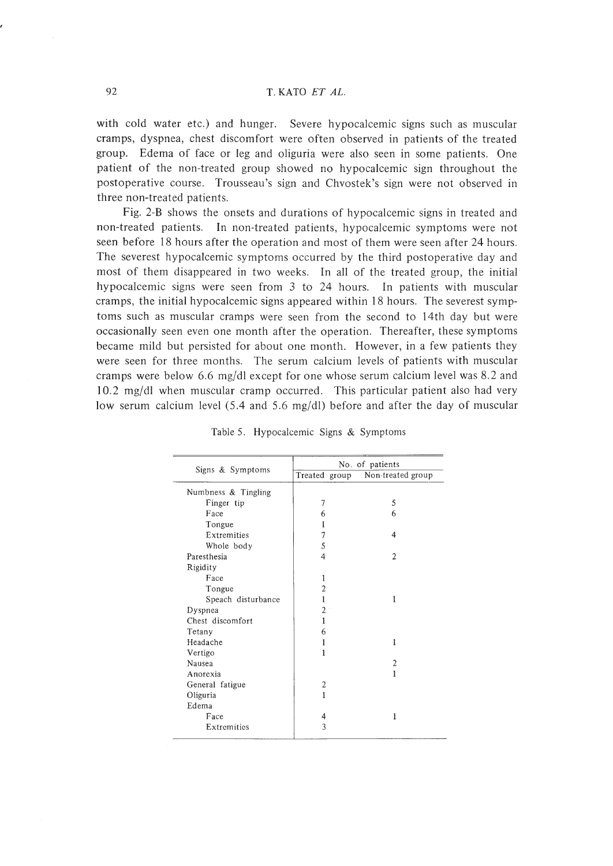with cold water etc.) and hunger. Severe hypocalcemic signs such as muscular cramps, dyspnea, chest discomfort were often observed in patients of the treated group. Edema of face or leg and oliguria were also seen in some patients. One patient of the non-treated group showed no hypocalcemic sign throughout the postoperative course. Trousseau's sign and Chvostek's sign were not observed in three non-treated patients.

Fig. 2-B shows the onsets and durations of hypocalcemic signs in treated and non-treated patients. In non-treated patients, hypocalcemic symptoms were not seen before 18 hours after the operation and most of them were seen after 24 hours. The severest hypocalcemic symptoms occurred by the third postoperative day and most of them disappeared in two weeks. In all of the treated group, the initial hypocalcemic signs were seen from 3 to 24 hours. In patients with muscular cramps, the initial hypocalcemic signs appeared within 18 hours. The severest symptoms such as muscular cramps were seen from the second to 14th day but were occasionally seen even one month after the operation. Thereafter, these symptoms became mild but persisted for about one month. However, in a few patients they were seen for three months. The serum calcium levels of patients with muscular cramps were below 6.6 mg/dl except for one whose serum calcium level was 8.2 and 10.2 mg/dl when muscular cramp occurred. This particular patient also had very low serum calcium level (5.4 and 5.6 mg/dl) before and after the day of muscular

|                     | No. of patients |                   |  |
|---------------------|-----------------|-------------------|--|
| Signs & Symptoms    | Treated group   | Non-treated group |  |
| Numbness & Tingling |                 |                   |  |
| Finger tip          | 7               | 5                 |  |
| Face                | 6               | 6                 |  |
| Tongue              | 1               |                   |  |
| Extremities         | 7               | 4                 |  |
| Whole body          | 5               |                   |  |
| Paresthesia         | 4               | $\mathfrak{2}$    |  |
| Rigidity            |                 |                   |  |
| Face                | 1               |                   |  |
| Tongue              | $\overline{c}$  |                   |  |
| Speach disturbance  | 1               | 1                 |  |
| Dyspnea             | $\overline{2}$  |                   |  |
| Chest discomfort    | 1               |                   |  |
| Tetany              | 6               |                   |  |
| Headache            | 1               | 1                 |  |
| Vertigo             | 1               |                   |  |
| Nausea              |                 | $\overline{2}$    |  |
| Anorexia            |                 | 1                 |  |
| General fatigue     | 2               |                   |  |
| Oliguria            | 1               |                   |  |
| Edema               |                 |                   |  |
| Face                | 4               | 1                 |  |
| Extremities         | 3               |                   |  |

Table 5. Hypocalcemic Signs & Symptoms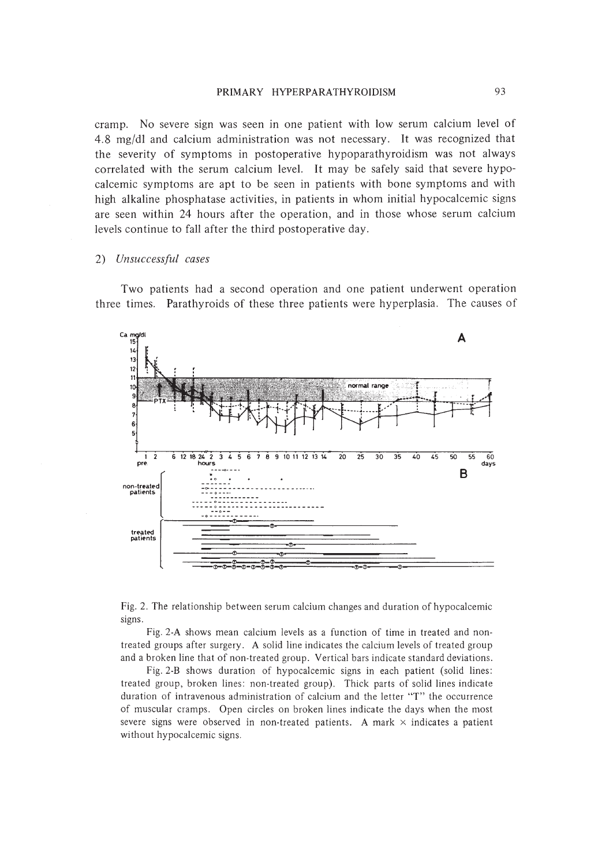## PRIMARY HYPERPARATHYROIDISM 93

cramp. No severe sign was seen in one patient with low serum calcium level of 4.8 mg/dl and calcium administration was not necessary. It was recognized that the severity of symptoms in postoperative hypoparathyroidism was not always correlated with the serum calcium level. It may be safely said that severe hypocalcemic symptoms are apt to be seen in patients with bone symptoms and with high alkaline phosphatase activities, in patients in whom initial hypocalcemic signs are seen within 24 hours after the operation, and in those whose serum calcium levels continue to fall after the third postoperative day.

## *2) Unsuccessful cases*

Two patients had a second operation and one patient underwent operation three times. Parathyroids of these three patients were hyperplasia. The causes of





Fig.2-A shows mean calcium levels as a function of time in treated and nontreated groups after surgery. A solid line indicates the calcium levels of treated group and a broken line that of non-treated group. Vertical bars indicate standard deviations.

Fig.2.B shows duration of hypocalcemic signs in each patient (solid lines: treated group, broken lines: non-treated group). Thick parts of solid lines indicate duration of intravenous administration of calcium and the letter "T" the occurrence of muscular cramps. Open circles on broken lines indicate the days when the most severe signs were observed in non-treated patients. A mark  $\times$  indicates a patient without hypocalcemic signs.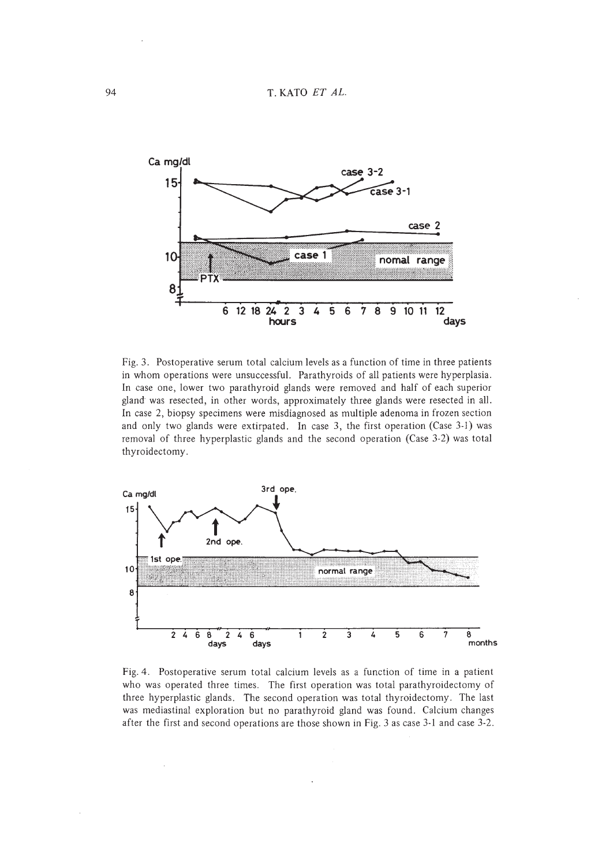

Fig. 3. Postoperative serum total calcium levels as a function of time in three patients in whom operations were unsuccessful. Parathyroids of all patients were hyperplasia. In case one, lower two parathyroid glands were removed and half of each superior gland was resected, in other words, approximately three glands were resected in all. In case 2, biopsy specimens were misdiagnosed as multiple adenoma in frozen section and only two glands were extirpated. In case 3, the first operation (Case 3-1) was removal of three hyperplastic glands and the second operation (Case 3-2) was total thyroidectomy.



Fig. 4. Postoperative serum total calcium levels as a function of time in a patient who was operated three times. The first operation was total parathyroidectomy of three hyperplastic glands. The second operation was total thyroidectomy. The last was mediastinal exploration but no parathyroid gland was found. Calcium changes after the first and second operations are those shown in Fig. 3 as case 3-1 and case 3-2.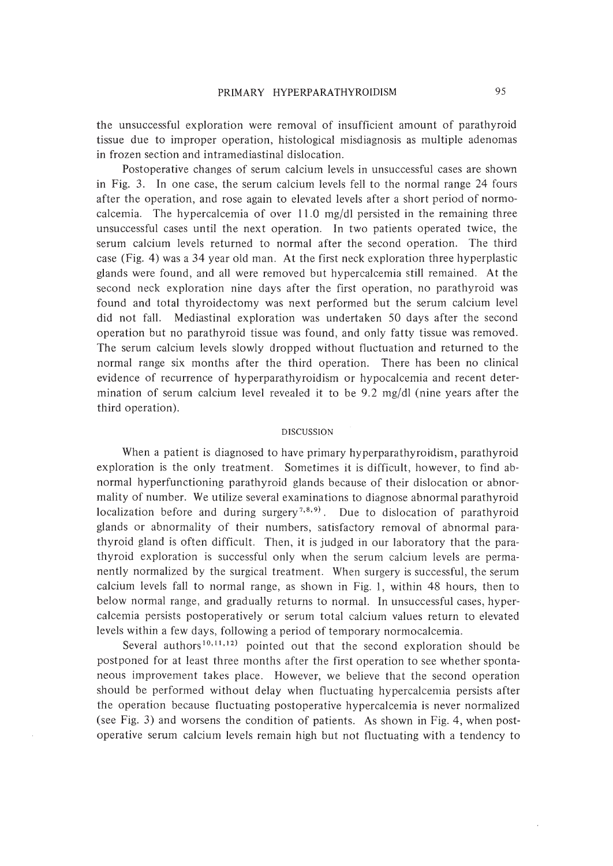the unsuccessful exploration were removal of insufficient amount of parathyroid tissue due to improper operation, histological misdiagnosis as multiple adenomas in frozen section and intramediastinal dislocation.

Postoperative changes of serum calcium levels in unsuccessful cases are shown in Fig. 3. In one case, the serum calcium levels fell to the normal range 24 fours after the operation, and rose again to elevated levels after a short period of normocalcemia. The hypercalcemia of over  $11.0 \text{ mg/dl}$  persisted in the remaining three unsuccessful cases until the next operation. In two patients operated twice, the serum calcium levels returned to normal after the second operation. The third case (Fig. 4) was a 34 year old man. At the first neck exploration three hyperplastic glands were found, and all were removed but hypercalcemia still remained. At the second neck exploration nine days after the first operation, no parathyroid was found and total thyroidectomy was next performed but the serum calcium level did not fall. Mediastinal exploration was undertaken 50 days after the second operation but no parathyroid tissue was found, and only fatty tissue was removed. The serum calcium levels slowly dropped without fluctuation and returned to the normal range six months after the third operation. There has been no clinical evidence of recurrence of hyperparathyroidism or hypocalcemia and recent determination of serum calcium level revealed it to be 9.2 mg/dl (nine years after the third operation).

### DISCUSSION

When a patient is diagnosed to have primary hyperparathyroidism, parathyroid exploration is the only treatment. Sometimes it is difficult, however, to find abnormal hyperfunctioning parathyroid glands because of their dislocation or abnormality of number. We utilize several examinations to diagnose abnormal parathyroid localization before and during surgery<sup>7,8,9)</sup>. Due to dislocation of parathyroid glands or abnormality of their numbers, satisfactory removal of abnormal parathyroid gland is often difficult. Then, it is judged in our laboratory that the parathyroid exploration is successful only when the serum calcium levels are permanently normalized by the surgical treatment. When surgery is successful, the serum calcium levels fall to normal range, as shown in Fig. I, within 48 hours, then to below normal range, and gradually returns to normal. In unsuccessful cases, hypercalcemia persists postoperatively or serum total calcium values return to elevated levels within a few days, following a period of temporary normocalcemia.

Several authors<sup>10,11,12)</sup> pointed out that the second exploration should be postponed for at least three months after the first operation to see whether spontaneous improvement takes place. However, we believe that the second operation should be performed without delay when fluctuating hypercalcemia persists after the operation because fluctuating postoperative hypercalcemia is never normalized (see Fig. 3) and worsens the condition of patients. As shown in Fig. 4, when postoperative serum calcium levels remain high but not fluctuating with a tendency to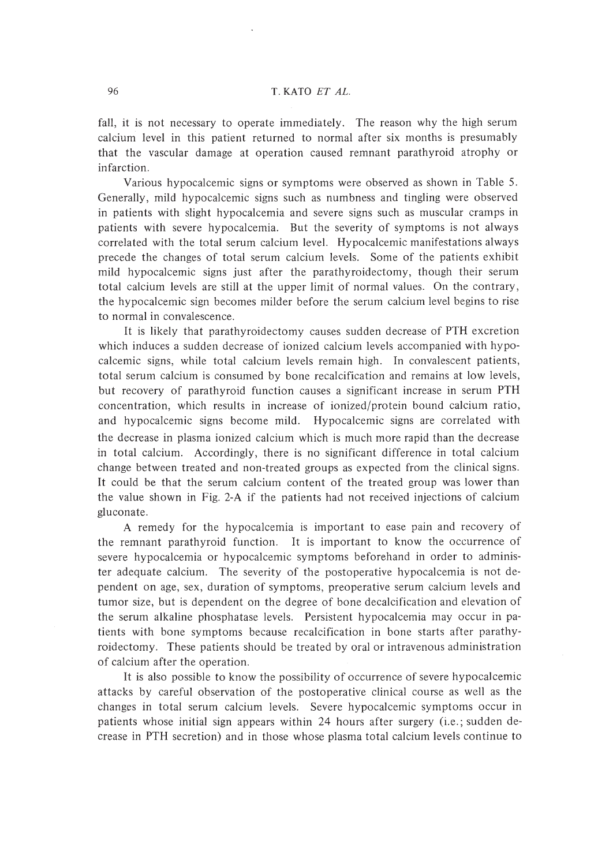fall, it is not necessary to operate immediately. The reason why the high serum calcium level in this patient returned to normal after six months is presumably that the vascular damage at operation caused remnant parathyroid atrophy or infarction.

Various hypocalcemic signs or symptoms were observed as shown in Table 5. Generally, mild hypocalcemic signs such as numbness and tingling were observed in patients with slight hypocalcemia and severe signs such as muscular cramps in patients with severe hypocalcemia. But the severity of symptoms is not always correlated with the total serum calcium level. Hypocalcemic manifestations always precede the changes of total serum calcium levels. Some of the patients exhibit mild hypocalcemic signs just after the parathyroidectomy, though their serum total calcium levels are still at the upper limit of normal values. On the contrary, the hypocalcemic sign becomes milder before the serum calcium level begins to rise to normal in convalescence.

It is likely that parathyroidectomy causes sudden decrease of PTH excretion which induces a sudden decrease of ionized calcium levels accompanied with hypocalcemic signs, while total calcium levels remain high. In convalescent patients, total serum calcium is consumed by bone recalcification and remains at low levels, but recovery of parathyroid function causes a significant increase in serum PTH concentration, which results in increase of ionized/protein bound calcium ratio, and hypocalcemic signs become mild. Hypocalcemic signs are correlated with the decrease in plasma ionized calcium which is much more rapid than the decrease in total calcium. Accordingly, there is no significant difference in total calcium change between treated and non-treated groups as expected from the clinical signs. It could be that the serum calcium content of the treated group was lower than the value shown in Fig. 2-A if the patients had not received injections of calcium gluconate.

A remedy for the hypocalcemia is important to ease pain and recovery of the remnant parathyroid function. It is important to know the occurrence of severe hypocalcemia or hypocalcemic symptoms beforehand in order to administer adequate calcium. The severity of the postoperative hypocalcemia is not dependent on age, sex, duration of symptoms, preoperative serum calcium levels and tumor size, but is dependent on the degree of bone decalcification and elevation of the serum alkaline phosphatase levels. Persistent hypocalcemia may occur in patients with bone symptoms because recalcification in bone starts after parathyroidectomy. These patients should be treated by oral or intravenous administration of calcium after the operation.

It is also possible to know the possibility of occurrence of severe hypocalcemic attacks by careful observation of the postoperative clinical course as well as the changes in total serum calcium levels. Severe hypocalcemic symptoms occur in patients whose initial sign appears within 24 hours after surgery (i.e.; sudden decrease in PTH secretion) and in those whose plasma total calcium levels continue to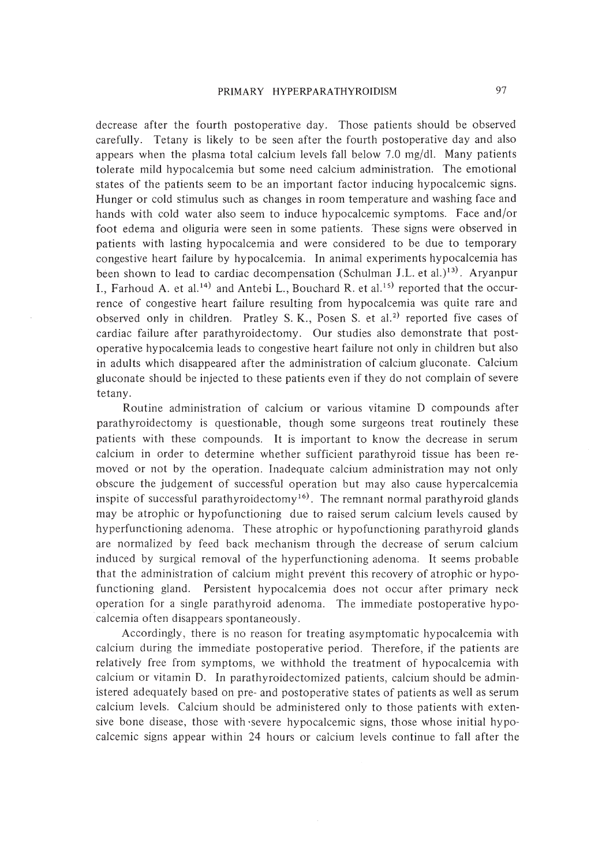decrease after the fourth postoperative day. Those patients should be observed carefully. Tetany is likely to be seen after the fourth postoperative day and also appears when the plasma total calcium levels fall below 7.0 mg/dl. Many patients tolerate mild hypocalcemia but some need calcium administration. The emotional states of the patients seem to be an important factor inducing hypocalcemic signs. Hunger or cold stimulus such as changes in room temperature and washing face and hands with cold water also seem to induce hypocalcemic symptoms. Face and/or foot edema and oliguria were seen in some patients. These signs were observed in patients with lasting hypocalcemia and were considered to be due to temporary congestive heart failure by hypocalcemia. In animal experiments hypocalcemia has been shown to lead to cardiac decompensation (Schulman J.L. et al.)<sup>13)</sup>. Aryanpur I., Farhoud A. et al.<sup>14)</sup> and Antebi L., Bouchard R. et al.<sup>15)</sup> reported that the occurrence of congestive heart failure resulting from hypocalcemia was quite rare and observed only in children. Pratley S. K., Posen S. et al.<sup>2)</sup> reported five cases of cardiac failure after parathyroidectomy. Our studies also demonstrate that postoperative hypocalcemia leads to congestive heart failure not only in children but also in adults which disappeared after the administration of calcium gluconate. Calcium gluconate should be injected to these patients even if they do not complain of severe tetany.

Routine administration of calcium or various vitamine D compounds after parathyroidectomy is questionable, though some surgeons treat routinely these patients with these compounds. It is important to know the decrease in serum calcium in order to determine whether sufficient parathyroid tissue has been removed or not by the operation. Inadequate calcium administration may not only obscure the judgement of successful operation but may also cause hypercalcemia inspite of successful parathyroidectomy<sup>16)</sup>. The remnant normal parathyroid glands may be atrophic or hypofunctioning due to raised serum calcium levels caused by hyperfunctioning adenoma. These atrophic or hypofunctioning parathyroid glands are normalized by feed back mechanism through the decrease of serum calcium induced by surgical removal of the hyperfunctioning adenoma. It seems probable that the administration of calcium might prevent this recovery of atrophic or hypofunctioning gland. Persistent hypocalcemia does not occur after primary neck operation for a single parathyroid adenoma. The immediate postoperative hypocalcemia often disappears spontaneously.

Accordingly, there is no reason for treating asymptomatic hypocalcemia with calcium during the immediate postoperative period. Therefore, if the patients are relatively free from symptoms, we withhold the treatment of hypocalcemia with calcium or vitamin D. In parathyroidectomized patients, calcium should be administered adequately based on pre- and postoperative states of patients as well as serum calcium levels. Calcium should be administered only to those patients with extensive bone disease, those with 'severe hypocalcemic signs, those whose initial hypocalcemic signs appear within 24 hours or calcium levels continue to fall after the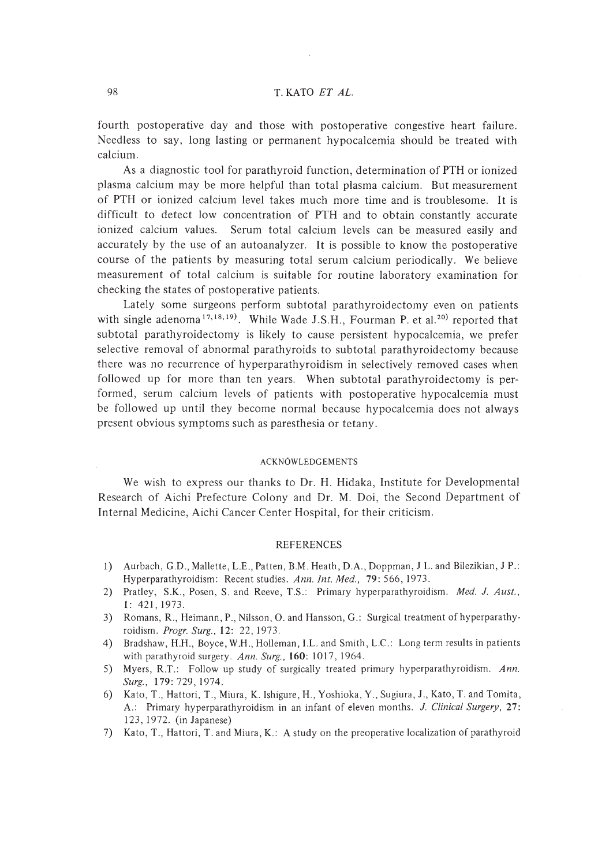fourth postoperative day and those with postoperative congestive heart failure. Needless to say, long lasting or permanent hypocalcemia should be treated with calcium.

As a diagnostic tool for parathyroid function, determination of PTH or ionized plasma calcium may be more helpful than total plasma calcium. But measurement of PTH or ionized calcium level takes much more time and is troublesome. It is difficult to detect low concentration of PTH and to obtain constantly accurate ionized calcium values. Serum total calcium levels can be measured easily and accurately by the use of an autoanalyzer. It is possible to know the postoperative course of the patients by measuring total serum calcium periodically. We believe measurement of total calcium is suitable for routine laboratory examination for checking the states of postoperative patients.

Lately some surgeons perform subtotal parathyroidectomy even on patients with single adenoma<sup>17,18,19</sup>. While Wade J.S.H., Fourman P. et al.<sup>20</sup> reported that subtotal parathyroidectomy is likely to cause persistent hypocalcemia, we prefer selective removal of abnormal parathyroids to subtotal parathyroidectomy because there was no recurrence of hyperparathyroidism in selectively removed cases when followed up for more than ten years. When subtotal parathyroidectomy is performed, serum calcium levels of patients with postoperative hypocalcemia must be followed up until they become normal because hypocalcemia does not always present obvious symptoms such as paresthesia or tetany.

#### ACKNOWLEDGEMENTS

We wish to express our thanks to Dr. H. Hidaka, Institute for Developmental Research of Aichi Prefecture Colony and Dr. M. Doi, the Second Department of Internal Medicine, Aichi Cancer Center Hospital, for their criticism.

#### REFERENCES

- I) Aurbach, G.D., Mallette, L.E., Patten, B.M. Heath, D.A., Doppman, J L. and Bilezikian, J P.: Hyperparathyroidism: Recent studies. *Ann. Int. Med.,* 79: 566, 1973.
- 2) Pratley, S.K., Posen, S. and Reeve, T.S.: Primary hyperparathyroidism. Med. J. Aust., I: 421,1973.
- 3) Romans, R., Heimann, P., Nilsson, O. and Hansson, G.: Surgical treatment of hyperparathyroidism. *Progr. Surg.,* 12: 22,1973.
- 4) Bradshaw, H.H., Boyce, W.H., Holleman, I.L. and Smith, L.C.: Long term results in patients with parathyroid surgery. *Ann. Surg.,* 160: 1017,1964.
- 5) Myers, R.T.: Follow up study of surgically treated primary hyperparathyroidism. Ann. *Surg.,* 179: 729,1974.
- 6) Kato, T., Hattori, T., Miura, K. Ishigure, H., Yoshioka, Y., Sugiura, J., Kato, T. and Tomita, A.: Primary hyperparathyroidism in an infant of eleven months. 1. *Clinical Surgery, 27:* 123, 1972. (in Japanese)
- 7) Kato, T., Hattori, T. and Miura, K.: A study on the preoperative localization of parathyroid